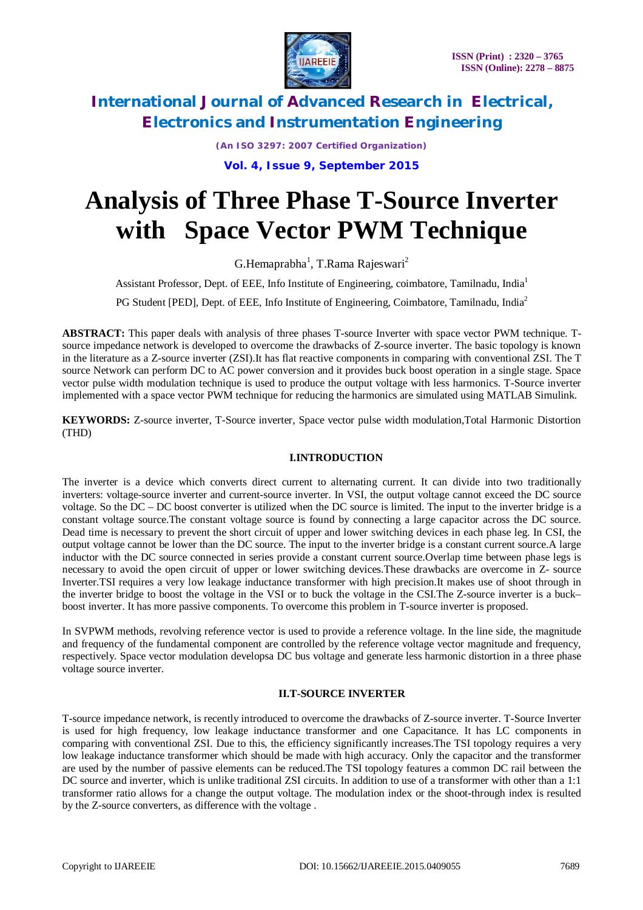

*(An ISO 3297: 2007 Certified Organization)*

**Vol. 4, Issue 9, September 2015**

# **Analysis of Three Phase T-Source Inverter with Space Vector PWM Technique**

G.Hemaprabha<sup>1</sup>, T.Rama Rajeswari<sup>2</sup>

Assistant Professor, Dept. of EEE, Info Institute of Engineering, coimbatore, Tamilnadu, India<sup>1</sup>

PG Student [PED], Dept. of EEE, Info Institute of Engineering, Coimbatore, Tamilnadu, India<sup>2</sup>

**ABSTRACT:** This paper deals with analysis of three phases T-source Inverter with space vector PWM technique. Tsource impedance network is developed to overcome the drawbacks of Z-source inverter. The basic topology is known in the literature as a Z-source inverter (ZSI).It has flat reactive components in comparing with conventional ZSI. The T source Network can perform DC to AC power conversion and it provides buck boost operation in a single stage. Space vector pulse width modulation technique is used to produce the output voltage with less harmonics. T-Source inverter implemented with a space vector PWM technique for reducing the harmonics are simulated using MATLAB Simulink.

**KEYWORDS:** Z-source inverter, T-Source inverter, Space vector pulse width modulation,Total Harmonic Distortion (THD)

### **I.INTRODUCTION**

The inverter is a device which converts direct current to alternating current. It can divide into two traditionally inverters: voltage-source inverter and current-source inverter. In VSI, the output voltage cannot exceed the DC source voltage. So the DC – DC boost converter is utilized when the DC source is limited. The input to the inverter bridge is a constant voltage source.The constant voltage source is found by connecting a large capacitor across the DC source. Dead time is necessary to prevent the short circuit of upper and lower switching devices in each phase leg. In CSI, the output voltage cannot be lower than the DC source. The input to the inverter bridge is a constant current source.A large inductor with the DC source connected in series provide a constant current source.Overlap time between phase legs is necessary to avoid the open circuit of upper or lower switching devices.These drawbacks are overcome in Z- source Inverter.TSI requires a very low leakage inductance transformer with high precision.It makes use of shoot through in the inverter bridge to boost the voltage in the VSI or to buck the voltage in the CSI.The Z-source inverter is a buck– boost inverter. It has more passive components. To overcome this problem in T-source inverter is proposed.

In SVPWM methods, revolving reference vector is used to provide a reference voltage. In the line side, the magnitude and frequency of the fundamental component are controlled by the reference voltage vector magnitude and frequency, respectively. Space vector modulation developsa DC bus voltage and generate less harmonic distortion in a three phase voltage source inverter.

### **II.T-SOURCE INVERTER**

T-source impedance network, is recently introduced to overcome the drawbacks of Z-source inverter. T-Source Inverter is used for high frequency, low leakage inductance transformer and one Capacitance. It has LC components in comparing with conventional ZSI. Due to this, the efficiency significantly increases.The TSI topology requires a very low leakage inductance transformer which should be made with high accuracy. Only the capacitor and the transformer are used by the number of passive elements can be reduced.The TSI topology features a common DC rail between the DC source and inverter, which is unlike traditional ZSI circuits. In addition to use of a transformer with other than a 1:1 transformer ratio allows for a change the output voltage. The modulation index or the shoot-through index is resulted by the Z-source converters, as difference with the voltage .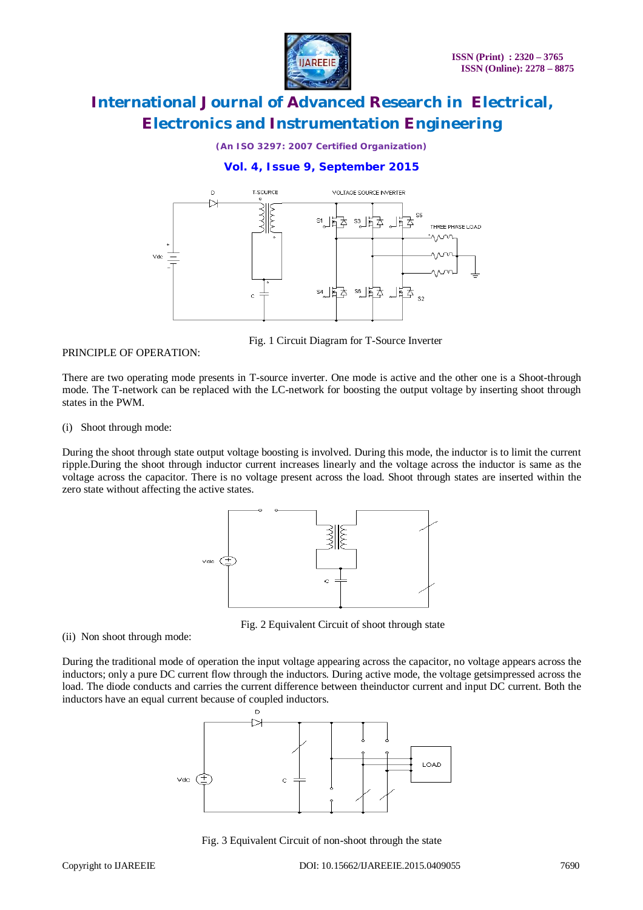

*(An ISO 3297: 2007 Certified Organization)*

### **Vol. 4, Issue 9, September 2015**



PRINCIPLE OF OPERATION:

Fig. 1 Circuit Diagram for T-Source Inverter

There are two operating mode presents in T-source inverter. One mode is active and the other one is a Shoot-through mode. The T-network can be replaced with the LC-network for boosting the output voltage by inserting shoot through states in the PWM.

(i) Shoot through mode:

During the shoot through state output voltage boosting is involved. During this mode, the inductor is to limit the current ripple.During the shoot through inductor current increases linearly and the voltage across the inductor is same as the voltage across the capacitor. There is no voltage present across the load. Shoot through states are inserted within the zero state without affecting the active states.



Fig. 2 Equivalent Circuit of shoot through state

(ii) Non shoot through mode:

During the traditional mode of operation the input voltage appearing across the capacitor, no voltage appears across the inductors; only a pure DC current flow through the inductors. During active mode, the voltage getsimpressed across the load. The diode conducts and carries the current difference between theinductor current and input DC current. Both the inductors have an equal current because of coupled inductors.



Fig. 3 Equivalent Circuit of non-shoot through the state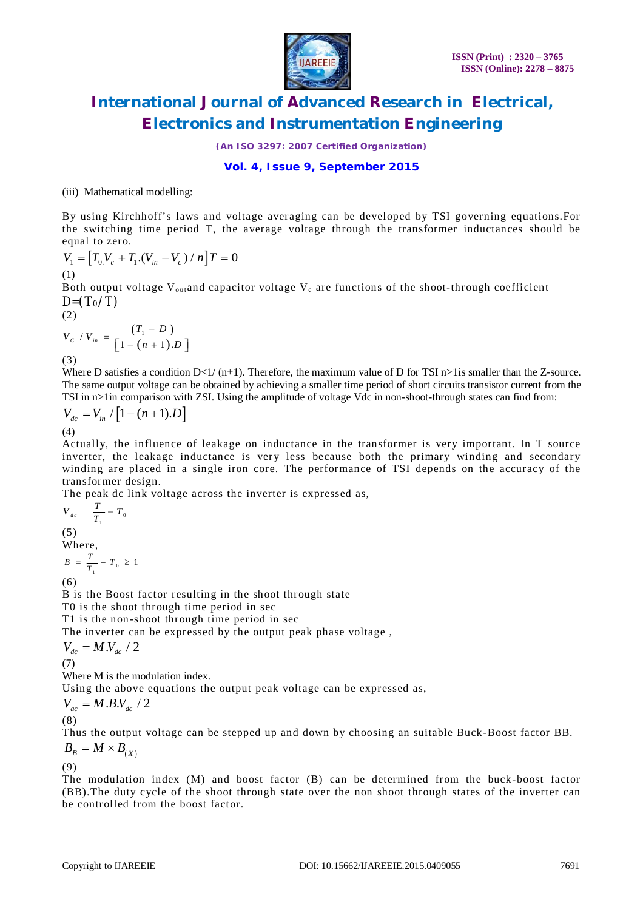

*(An ISO 3297: 2007 Certified Organization)*

### **Vol. 4, Issue 9, September 2015**

(iii) Mathematical modelling:

By using Kirchhoff's laws and voltage averaging can be developed by TSI governing equations.For the switching time period T, the average voltage through the transformer inductances should be equal to zero.

$$
V_1 = [T_0 V_c + T_1 (V_{in} - V_c) / n]T = 0
$$
  
(1)

Both output voltage  $V_{\text{out}}$  and capacitor voltage  $V_c$  are functions of the shoot-through coefficient *D=(T0/T)*

$$
V_{C} / V_{in} = \frac{(T_{1} - D)}{[1 - (n + 1).D]}
$$
\n(3)

Where D satisfies a condition  $D<1/(n+1)$ . Therefore, the maximum value of D for TSI n>1is smaller than the Z-source. The same output voltage can be obtained by achieving a smaller time period of short circuits transistor current from the TSI in n>1in comparison with ZSI. Using the amplitude of voltage Vdc in non-shoot-through states can find from:

$$
V_{dc} = V_{in} / [1 - (n+1).D]
$$
\n(4)

Actually, the influence of leakage on inductance in the transformer is very important. In T source inverter, the leakage inductance is very less because both the primary winding and secondary winding are placed in a single iron core. The performance of TSI depends on the accuracy of the transformer design.

The peak dc link voltage across the inverter is expressed as,

$$
V_{dc} = \frac{T}{T_1} - T_0
$$
  
(5)  
Where,  

$$
B = \frac{T}{T_1} - T_0 \ge 1
$$

(6)

 $(2)$ 

B is the Boost factor resulting in the shoot through state

T0 is the shoot through time period in sec

T1 is the non-shoot through time period in sec

The inverter can be expressed by the output peak phase voltage ,

$$
V_{dc} = M.V_{dc} / 2
$$

(7) Where M is the modulation index.

Using the above equations the output peak voltage can be expressed as,

 $V_{ac} = M.B.V_{dc} / 2$  $(8)$ 

Thus the output voltage can be stepped up and down by choosing an suitable Buck-Boost factor BB.  $B_{B} = M \times B_{(X)}$ 

(9)

The modulation index (M) and boost factor (B) can be determined from the buck-boost factor (BB).The duty cycle of the shoot through state over the non shoot through states of the inverter can be controlled from the boost factor.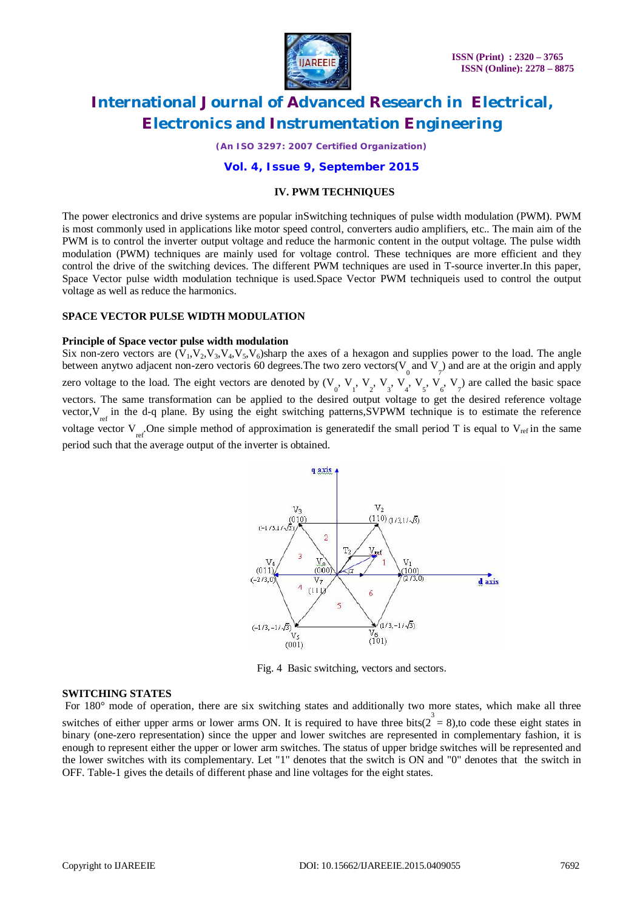

*(An ISO 3297: 2007 Certified Organization)*

#### **Vol. 4, Issue 9, September 2015**

#### **IV. PWM TECHNIQUES**

The power electronics and drive systems are popular inSwitching techniques of pulse width modulation (PWM). PWM is most commonly used in applications like motor speed control, converters audio amplifiers, etc.. The main aim of the PWM is to control the inverter output voltage and reduce the harmonic content in the output voltage. The pulse width modulation (PWM) techniques are mainly used for voltage control. These techniques are more efficient and they control the drive of the switching devices. The different PWM techniques are used in T-source inverter.In this paper, Space Vector pulse width modulation technique is used.Space Vector PWM techniqueis used to control the output voltage as well as reduce the harmonics.

#### **SPACE VECTOR PULSE WIDTH MODULATION**

#### **Principle of Space vector pulse width modulation**

Six non-zero vectors are  $(V_1, V_2, V_3, V_4, V_5, V_6)$ sharp the axes of a hexagon and supplies power to the load. The angle between anytwo adjacent non-zero vectoris 60 degrees. The two zero vectors( $V_0$  and  $V_7$ ) and are at the origin and apply zero voltage to the load. The eight vectors are denoted by  $(V_0, V_1, V_2, V_3, V_4, V_5, V_6, V_7)$  are called the basic space vectors. The same transformation can be applied to the desired output voltage to get the desired reference voltage vector,  $V_{ref}$  in the d-q plane. By using the eight switching patterns, SVPWM technique is to estimate the reference voltage vector  $V_{ref}$ . One simple method of approximation is generatedif the small period T is equal to  $V_{ref}$  in the same period such that the average output of the inverter is obtained.



Fig. 4 Basic switching, vectors and sectors.

#### **SWITCHING STATES**

For 180° mode of operation, there are six switching states and additionally two more states, which make all three switches of either upper arms or lower arms ON. It is required to have three bits( $2^3 = 8$ ),to code these eight states in binary (one-zero representation) since the upper and lower switches are represented in complementary fashion, it is enough to represent either the upper or lower arm switches. The status of upper bridge switches will be represented and the lower switches with its complementary. Let "1" denotes that the switch is ON and "0" denotes that the switch in OFF. Table-1 gives the details of different phase and line voltages for the eight states.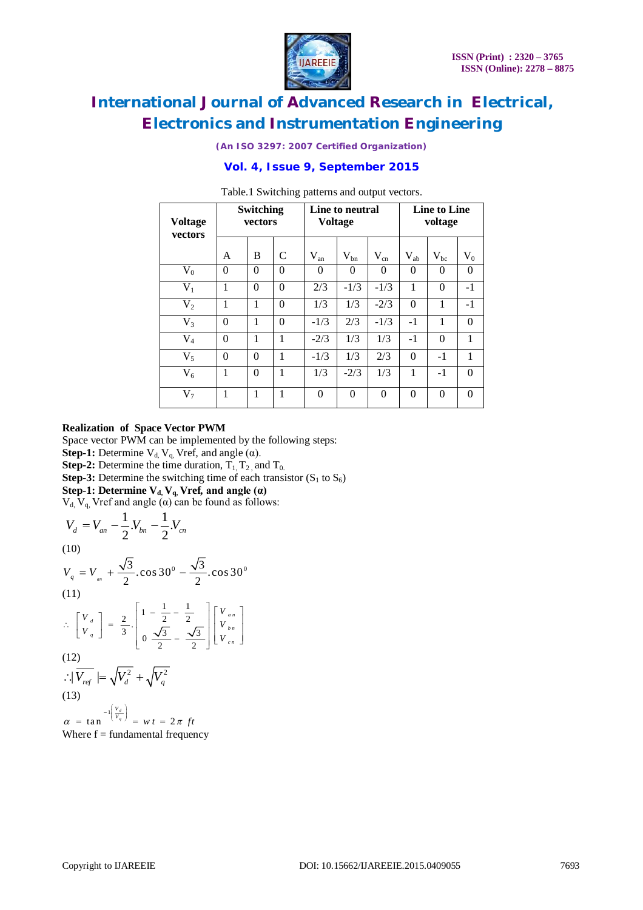

*(An ISO 3297: 2007 Certified Organization)*

### **Vol. 4, Issue 9, September 2015**

| <b>Voltage</b><br>vectors | <b>Switching</b><br>vectors |          |               | Line to neutral<br><b>Voltage</b> |          |          | <b>Line to Line</b><br>voltage |          |          |
|---------------------------|-----------------------------|----------|---------------|-----------------------------------|----------|----------|--------------------------------|----------|----------|
|                           | A                           | B        | $\mathcal{C}$ | $V_{an}$                          | $V_{bn}$ | $V_{cn}$ | $V_{ab}$                       | $V_{bc}$ | $V_0$    |
| $V_0$                     | $\theta$                    | $\theta$ | $\Omega$      | 0                                 | $\Omega$ | $\Omega$ | $\theta$                       | $\Omega$ | $\theta$ |
| $V_1$                     | 1                           | $\theta$ | $\theta$      | 2/3                               | $-1/3$   | $-1/3$   | 1                              | $\Omega$ | $-1$     |
| V <sub>2</sub>            | 1                           | 1        | $\theta$      | 1/3                               | 1/3      | $-2/3$   | $\theta$                       | 1        | $-1$     |
| $V_3$                     | $\theta$                    | 1        | $\theta$      | $-1/3$                            | 2/3      | $-1/3$   | $-1$                           | 1        | $\theta$ |
| $V_4$                     | $\theta$                    | 1        | 1             | $-2/3$                            | 1/3      | 1/3      | $-1$                           | $\Omega$ | 1        |
| $V_5$                     | $\theta$                    | $\theta$ | 1             | $-1/3$                            | 1/3      | 2/3      | $\theta$                       | $-1$     | 1        |
| $V_6$                     | 1                           | $\theta$ | 1             | 1/3                               | $-2/3$   | 1/3      | 1                              | $-1$     | $\theta$ |
| $V_7$                     | 1                           | 1        | 1             | $\Omega$                          | $\theta$ | $\theta$ | $\theta$                       | $\Omega$ | $\theta$ |

Table.1 Switching patterns and output vectors.

#### **Realization of Space Vector PWM**

Space vector PWM can be implemented by the following steps:

**Step-1:** Determine  $V_d$ ,  $V_g$ , Vref, and angle ( $\alpha$ ).

**Step-2:** Determine the time duration,  $T_1$ ,  $T_2$ , and  $T_0$ .

**Step-3:** Determine the switching time of each transistor  $(S_1 \text{ to } S_6)$ 

**Step-1:** Determine  $V_d$ ,  $V_g$ , Vref<sub>*i*</sub> and angle ( $\alpha$ )

 $V_d$ ,  $V_q$ , Vref and angle  $\overline{(\alpha)}$  can be found as follows:

$$
V_d = V_{an} - \frac{1}{2} V_{bn} - \frac{1}{2} V_{cn}
$$
  
(10)  

$$
V_q = V_{an} + \frac{\sqrt{3}}{2} \cdot \cos 30^\circ - \frac{\sqrt{3}}{2} \cdot \cos 30^\circ
$$
  
(11)  

$$
\therefore \begin{bmatrix} V_d \\ V_q \end{bmatrix} = \frac{2}{3} \cdot \begin{bmatrix} 1 - \frac{1}{2} - \frac{1}{2} \\ 0 & \frac{\sqrt{3}}{2} - \frac{\sqrt{3}}{2} \end{bmatrix} \begin{bmatrix} V_{an} \\ V_{bn} \end{bmatrix}
$$
  
(12)  

$$
\therefore |\overline{V_{ref}}| = \sqrt{V_d^2} + \sqrt{V_q^2}
$$
  
(13)  

$$
\alpha = \tan^{-1} \begin{bmatrix} \frac{V_d}{V_q} \end{bmatrix} = w t = 2\pi ft
$$

Where  $f =$  fundamental frequency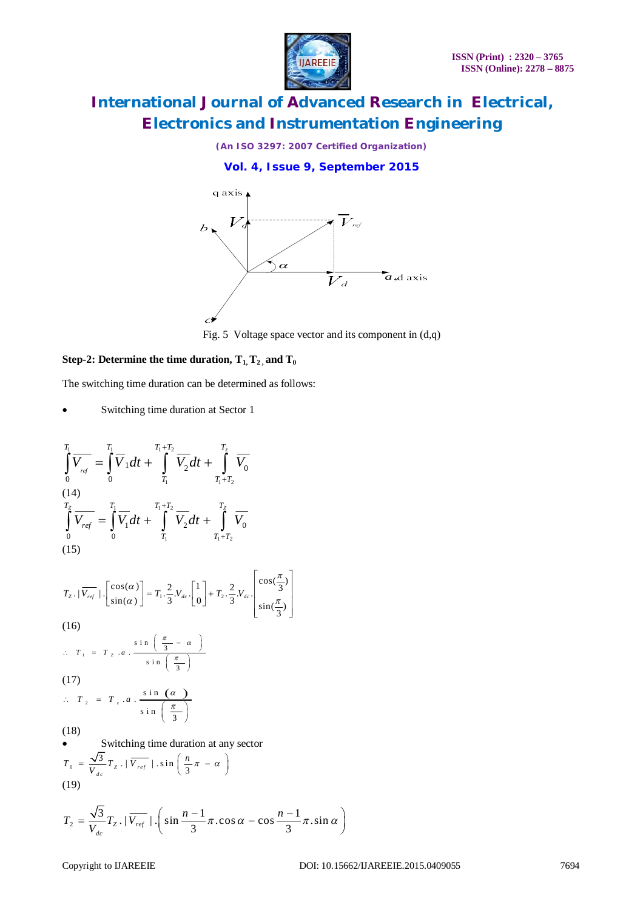

*(An ISO 3297: 2007 Certified Organization)*





Fig. 5Voltage space vector and its component in (d,q)

#### Step-2: Determine the time duration,  $T_1, T_2$ , and  $T_0$

The switching time duration can be determined as follows:

• Switching time duration at Sector 1

$$
\int_{0}^{T_1} \overline{V_{ref}} = \int_{0}^{T_1} \overline{V_1} dt + \int_{T_1}^{T_1+T_2} \overline{V_2} dt + \int_{T_1+T_2}^{T_2} \overline{V_0}
$$
\n(14)  
\n(14)  
\n
$$
\int_{0}^{T_2} \overline{V_{ref}} = \int_{0}^{T_1} \overline{V_1} dt + \int_{T_1}^{T_1+T_2} \overline{V_2} dt + \int_{T_1+T_2}^{T_2} \overline{V_0}
$$
\n(15)  
\n
$$
T_{Z} \cdot |\overline{V_{ref}}| \cdot \left[\sin(\alpha)\right] = T_1 \cdot \frac{2}{3} V_{dc} \cdot \left[\frac{1}{0}\right] + T_2 \cdot \frac{2}{3} V_{dc} \cdot \left[\frac{\cos(\frac{\pi}{3})}{\sin(\frac{\pi}{3})}\right]
$$
\n(16)  
\n $\therefore T_1 = T_{Z} \cdot a \cdot \frac{\sin(\frac{\pi}{3} - a)}{\sin(\frac{\pi}{3})}$   
\n(17)  
\n $\therefore T_2 = T_{z} \cdot a \cdot \frac{\sin(\alpha)}{\sin(\frac{\pi}{3})}$   
\n(18)  
\n  
\nSwitching time duration at any sector  
\n
$$
T_0 = \frac{\sqrt{3}}{V_{dc}} T_{Z} \cdot |\overline{V_{ref}}| \cdot \sin(\frac{\pi}{3} - a)
$$
\n(19)  
\n
$$
T_{Z} = \frac{\sqrt{3}}{V_{dc}} T_{Z} \cdot |\overline{V_{ref}}| \cdot \left(\sin \frac{n-1}{3} \pi \cdot \cos \alpha - \cos \frac{n-1}{3} \pi \cdot \sin \alpha\right)
$$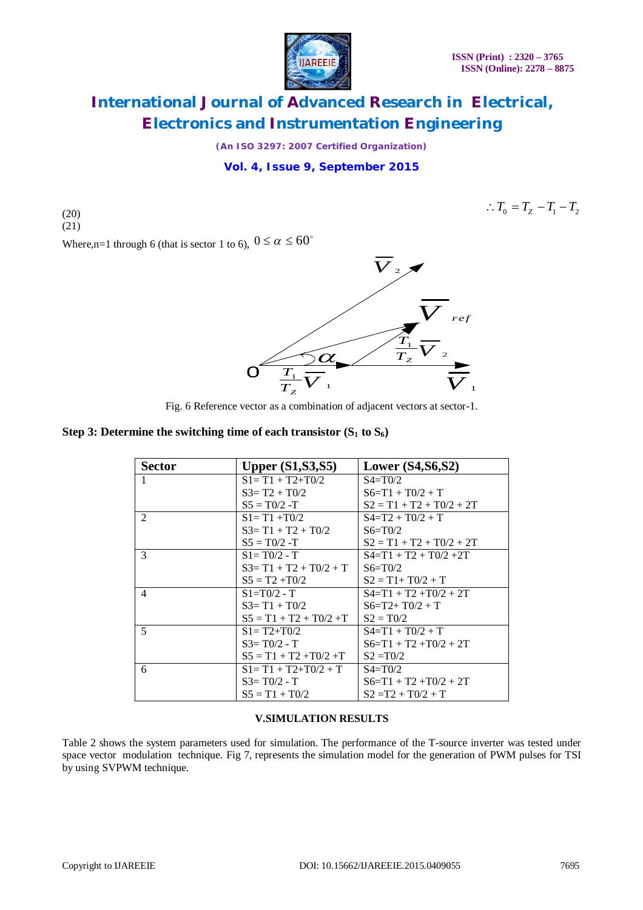

*(An ISO 3297: 2007 Certified Organization)*

### **Vol. 4, Issue 9, September 2015**

(20)  $(21)$   $T_0 = T_Z - T_1 - T_2$ 

Where,n=1 through 6 (that is sector 1 to 6),  $0 \le \alpha \le 60^{\circ}$ 



Fig. 6 Reference vector as a combination of adjacent vectors at sector-1.

### **Step 3: Determine the switching time of each transistor**  $(S_1 \text{ to } S_6)$

| <b>Sector</b> | <b>Upper (S1, S3, S5)</b>     | Lower $(S4, S6, S2)$       |
|---------------|-------------------------------|----------------------------|
| 1             | $S1 = T1 + T2 + T0/2$         | $S4 = T0/2$                |
|               | $S3 = T2 + T0/2$              | $S6=T1+TO/2+T$             |
|               | $S_5 = T_0/2 - T$             | $S2 = T1 + T2 + T0/2 + 2T$ |
| 2             | $S1 = T1 + T0/2$              | $S4=T2+TO/2+T$             |
|               | $S3 = T1 + T2 + T0/2$         | $S6 = T0/2$                |
|               | $S_5 = T_0/2 - T$             | $S2 = T1 + T2 + T0/2 + 2T$ |
| 3             | $S = T0/2 - T$                | $S4=T1+T2+T0/2+2T$         |
|               | $S3 = T1 + T2 + T0/2 + T$     | $S6 = T0/2$                |
|               | $S_5 = T2 + T0/2$             | $S2 = T1 + T0/2 + T$       |
| 4             | $S1 = T0/2 - T$               | $S4=T1+T2+T0/2+2T$         |
|               | $S3 = T1 + T0/2$              | $S6= T2+ T0/2 + T$         |
|               | $S_5 = T_1 + T_2 + T_0/2 + T$ | $S2 = T0/2$                |
| 5             | $S1 = T2 + T0/2$              | $S4 = T1 + T0/2 + T$       |
|               | $S3 = T0/2 - T$               | $S6=T1+T2+T0/2+2T$         |
|               | $S_5 = T1 + T2 + T0/2 + T$    | $S2 = T0/2$                |
| 6             | $S1 = T1 + T2 + T0/2 + T$     | $S4 = T0/2$                |
|               | $S3 = T0/2 - T$               | $S6=$ T1 + T2 +T0/2 + 2T   |
|               | $S_5 = T1 + T0/2$             | $S2 = T2 + T0/2 + T$       |

### **V.SIMULATION RESULTS**

Table 2 shows the system parameters used for simulation. The performance of the T-source inverter was tested under space vector modulation technique. Fig 7, represents the simulation model for the generation of PWM pulses for TSI by using SVPWM technique.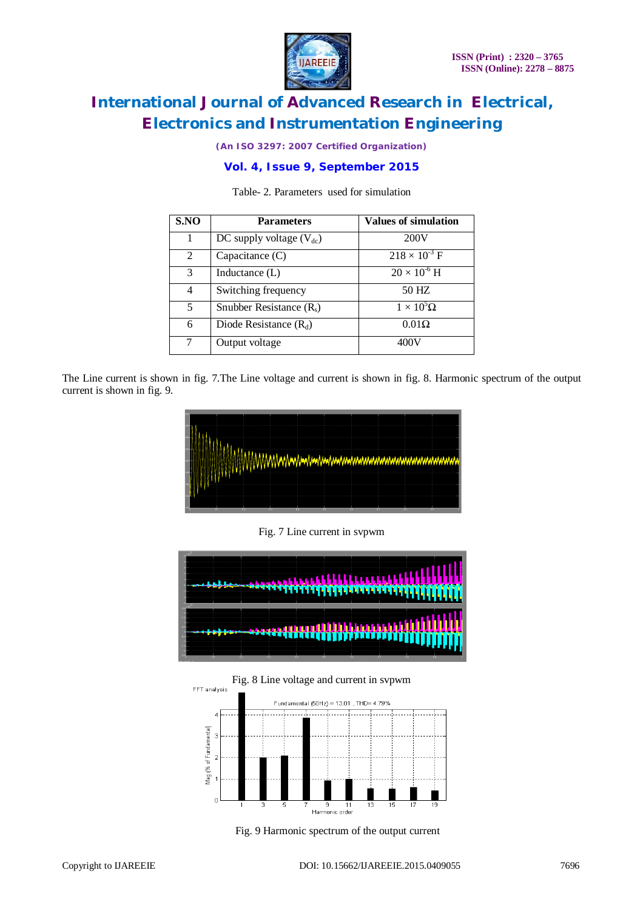

*(An ISO 3297: 2007 Certified Organization)*

### **Vol. 4, Issue 9, September 2015**

| S.NO | <b>Parameters</b>            | <b>Values of simulation</b>               |
|------|------------------------------|-------------------------------------------|
|      | DC supply voltage $(V_{dc})$ | 200V                                      |
| 2    | Capacitance (C)              | $218 \times \overline{10^{-3} \text{ F}}$ |
| 3    | Inductance $(L)$             | $20 \times 10^{6}$ H                      |
| 4    | Switching frequency          | 50 HZ                                     |
| 5    | Snubber Resistance $(R_s)$   | $1 \times 10^5 \Omega$                    |
| 6    | Diode Resistance $(R_d)$     | $0.01\Omega$                              |
| 7    | Output voltage               | 400V                                      |

Table- 2. Parameters used for simulation

The Line current is shown in fig. 7.The Line voltage and current is shown in fig. 8. Harmonic spectrum of the output current is shown in fig. 9.



Fig. 7 Line current in svpwm







Fig. 9 Harmonic spectrum of the output current